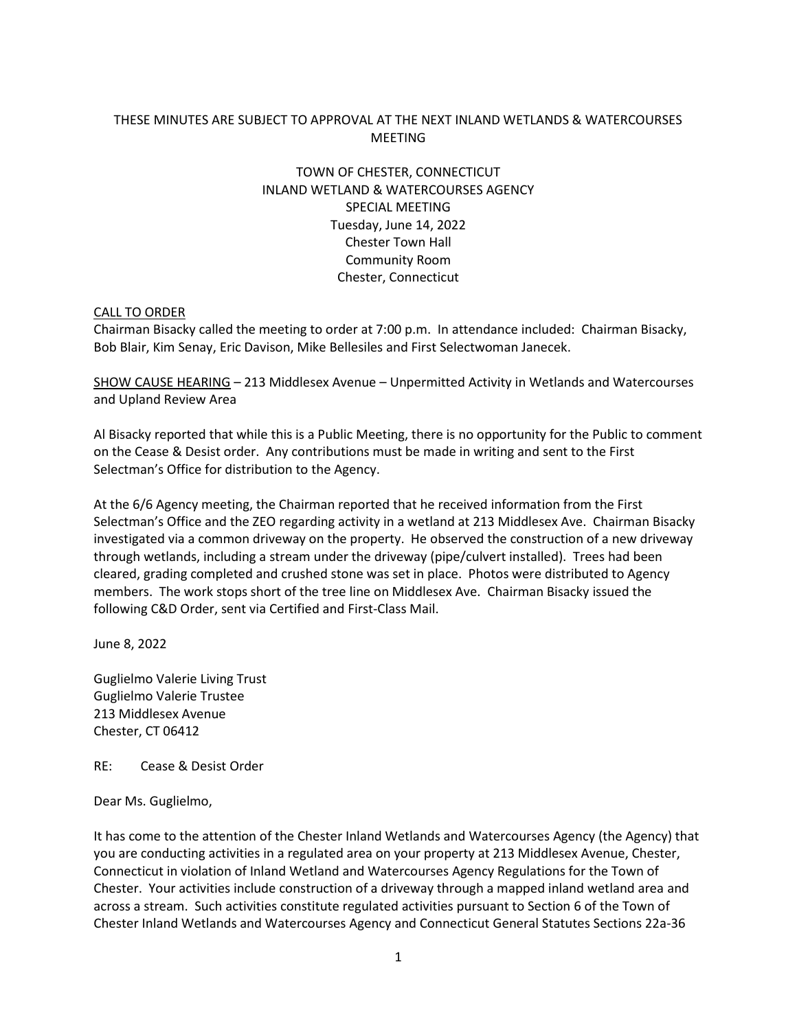## THESE MINUTES ARE SUBJECT TO APPROVAL AT THE NEXT INLAND WETLANDS & WATERCOURSES MEETING

# TOWN OF CHESTER, CONNECTICUT INLAND WETLAND & WATERCOURSES AGENCY SPECIAL MEETING Tuesday, June 14, 2022 Chester Town Hall Community Room Chester, Connecticut

#### CALL TO ORDER

Chairman Bisacky called the meeting to order at 7:00 p.m. In attendance included: Chairman Bisacky, Bob Blair, Kim Senay, Eric Davison, Mike Bellesiles and First Selectwoman Janecek.

SHOW CAUSE HEARING – 213 Middlesex Avenue – Unpermitted Activity in Wetlands and Watercourses and Upland Review Area

Al Bisacky reported that while this is a Public Meeting, there is no opportunity for the Public to comment on the Cease & Desist order. Any contributions must be made in writing and sent to the First Selectman's Office for distribution to the Agency.

At the 6/6 Agency meeting, the Chairman reported that he received information from the First Selectman's Office and the ZEO regarding activity in a wetland at 213 Middlesex Ave. Chairman Bisacky investigated via a common driveway on the property. He observed the construction of a new driveway through wetlands, including a stream under the driveway (pipe/culvert installed). Trees had been cleared, grading completed and crushed stone was set in place. Photos were distributed to Agency members. The work stops short of the tree line on Middlesex Ave. Chairman Bisacky issued the following C&D Order, sent via Certified and First-Class Mail.

June 8, 2022

Guglielmo Valerie Living Trust Guglielmo Valerie Trustee 213 Middlesex Avenue Chester, CT 06412

RE: Cease & Desist Order

Dear Ms. Guglielmo,

It has come to the attention of the Chester Inland Wetlands and Watercourses Agency (the Agency) that you are conducting activities in a regulated area on your property at 213 Middlesex Avenue, Chester, Connecticut in violation of Inland Wetland and Watercourses Agency Regulations for the Town of Chester. Your activities include construction of a driveway through a mapped inland wetland area and across a stream. Such activities constitute regulated activities pursuant to Section 6 of the Town of Chester Inland Wetlands and Watercourses Agency and Connecticut General Statutes Sections 22a-36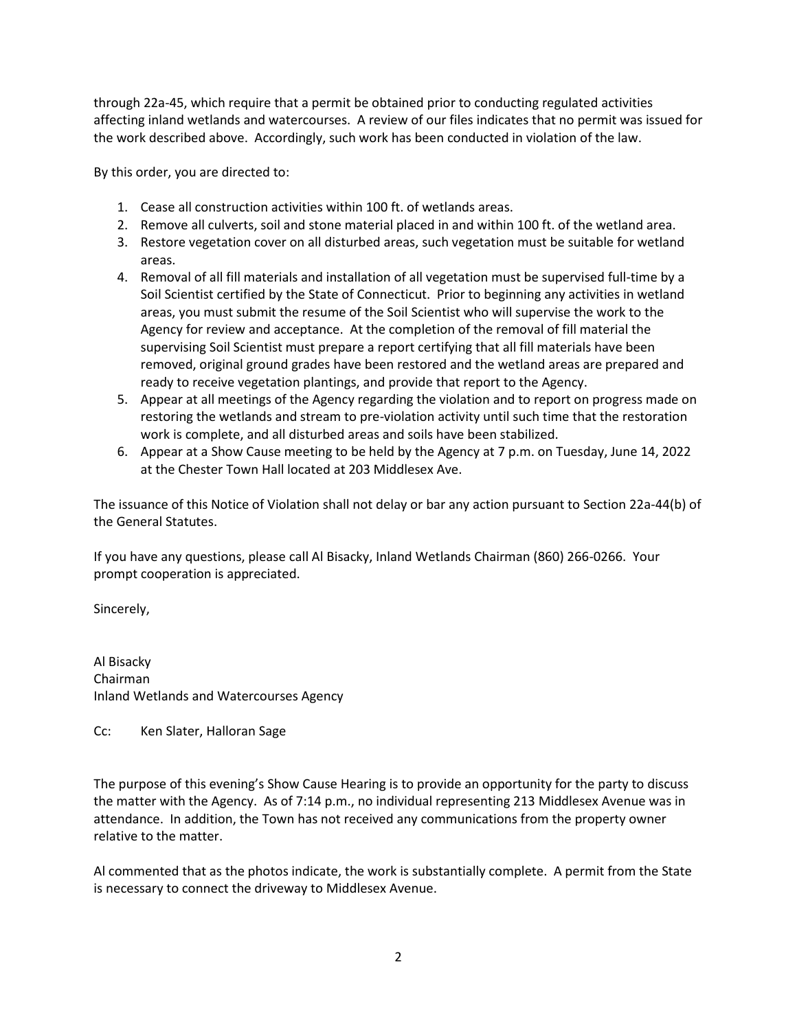through 22a-45, which require that a permit be obtained prior to conducting regulated activities affecting inland wetlands and watercourses. A review of our files indicates that no permit was issued for the work described above. Accordingly, such work has been conducted in violation of the law.

By this order, you are directed to:

- 1. Cease all construction activities within 100 ft. of wetlands areas.
- 2. Remove all culverts, soil and stone material placed in and within 100 ft. of the wetland area.
- 3. Restore vegetation cover on all disturbed areas, such vegetation must be suitable for wetland areas.
- 4. Removal of all fill materials and installation of all vegetation must be supervised full-time by a Soil Scientist certified by the State of Connecticut. Prior to beginning any activities in wetland areas, you must submit the resume of the Soil Scientist who will supervise the work to the Agency for review and acceptance. At the completion of the removal of fill material the supervising Soil Scientist must prepare a report certifying that all fill materials have been removed, original ground grades have been restored and the wetland areas are prepared and ready to receive vegetation plantings, and provide that report to the Agency.
- 5. Appear at all meetings of the Agency regarding the violation and to report on progress made on restoring the wetlands and stream to pre-violation activity until such time that the restoration work is complete, and all disturbed areas and soils have been stabilized.
- 6. Appear at a Show Cause meeting to be held by the Agency at 7 p.m. on Tuesday, June 14, 2022 at the Chester Town Hall located at 203 Middlesex Ave.

The issuance of this Notice of Violation shall not delay or bar any action pursuant to Section 22a-44(b) of the General Statutes.

If you have any questions, please call Al Bisacky, Inland Wetlands Chairman (860) 266-0266. Your prompt cooperation is appreciated.

Sincerely,

Al Bisacky Chairman Inland Wetlands and Watercourses Agency

Cc: Ken Slater, Halloran Sage

The purpose of this evening's Show Cause Hearing is to provide an opportunity for the party to discuss the matter with the Agency. As of 7:14 p.m., no individual representing 213 Middlesex Avenue was in attendance. In addition, the Town has not received any communications from the property owner relative to the matter.

Al commented that as the photos indicate, the work is substantially complete. A permit from the State is necessary to connect the driveway to Middlesex Avenue.